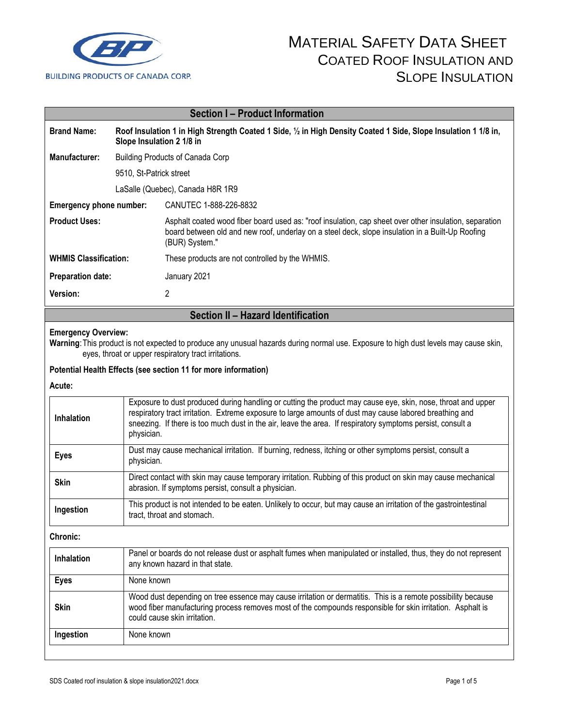

| <b>Section I-Product Information</b> |                                                                                                                                              |                                                                                                                                                                                                                              |  |  |
|--------------------------------------|----------------------------------------------------------------------------------------------------------------------------------------------|------------------------------------------------------------------------------------------------------------------------------------------------------------------------------------------------------------------------------|--|--|
| <b>Brand Name:</b>                   | Roof Insulation 1 in High Strength Coated 1 Side, 1/2 in High Density Coated 1 Side, Slope Insulation 1 1/8 in,<br>Slope Insulation 2 1/8 in |                                                                                                                                                                                                                              |  |  |
| Manufacturer:                        | <b>Building Products of Canada Corp</b>                                                                                                      |                                                                                                                                                                                                                              |  |  |
|                                      | 9510, St-Patrick street                                                                                                                      |                                                                                                                                                                                                                              |  |  |
|                                      | LaSalle (Quebec), Canada H8R 1R9                                                                                                             |                                                                                                                                                                                                                              |  |  |
| Emergency phone number:              |                                                                                                                                              | CANUTEC 1-888-226-8832                                                                                                                                                                                                       |  |  |
| <b>Product Uses:</b>                 |                                                                                                                                              | Asphalt coated wood fiber board used as: "roof insulation, cap sheet over other insulation, separation<br>board between old and new roof, underlay on a steel deck, slope insulation in a Built-Up Roofing<br>(BUR) System." |  |  |
| <b>WHMIS Classification:</b>         |                                                                                                                                              | These products are not controlled by the WHMIS.                                                                                                                                                                              |  |  |
| <b>Preparation date:</b>             |                                                                                                                                              | January 2021                                                                                                                                                                                                                 |  |  |
| <b>Version:</b>                      |                                                                                                                                              | 2                                                                                                                                                                                                                            |  |  |

### **Section II – Hazard Identification**

#### **Emergency Overview:**

**Warning**:This product is not expected to produce any unusual hazards during normal use. Exposure to high dust levels may cause skin, eyes, throat or upper respiratory tract irritations.

#### **Potential Health Effects (see section 11 for more information)**

**Acute:**

| <b>Inhalation</b> | Exposure to dust produced during handling or cutting the product may cause eye, skin, nose, throat and upper<br>respiratory tract irritation. Extreme exposure to large amounts of dust may cause labored breathing and<br>sneezing. If there is too much dust in the air, leave the area. If respiratory symptoms persist, consult a<br>physician. |
|-------------------|-----------------------------------------------------------------------------------------------------------------------------------------------------------------------------------------------------------------------------------------------------------------------------------------------------------------------------------------------------|
| <b>Eyes</b>       | Dust may cause mechanical irritation. If burning, redness, itching or other symptoms persist, consult a<br>physician.                                                                                                                                                                                                                               |
| <b>Skin</b>       | Direct contact with skin may cause temporary irritation. Rubbing of this product on skin may cause mechanical<br>abrasion. If symptoms persist, consult a physician.                                                                                                                                                                                |
| Ingestion         | This product is not intended to be eaten. Unlikely to occur, but may cause an irritation of the gastrointestinal<br>tract, throat and stomach.                                                                                                                                                                                                      |

**Chronic:**

| <b>Inhalation</b> | Panel or boards do not release dust or asphalt fumes when manipulated or installed, thus, they do not represent<br>any known hazard in that state.                                                                                                         |
|-------------------|------------------------------------------------------------------------------------------------------------------------------------------------------------------------------------------------------------------------------------------------------------|
| <b>Eyes</b>       | None known                                                                                                                                                                                                                                                 |
| <b>Skin</b>       | Wood dust depending on tree essence may cause irritation or dermatitis. This is a remote possibility because<br>wood fiber manufacturing process removes most of the compounds responsible for skin irritation. Asphalt is<br>could cause skin irritation. |
| Ingestion         | None known                                                                                                                                                                                                                                                 |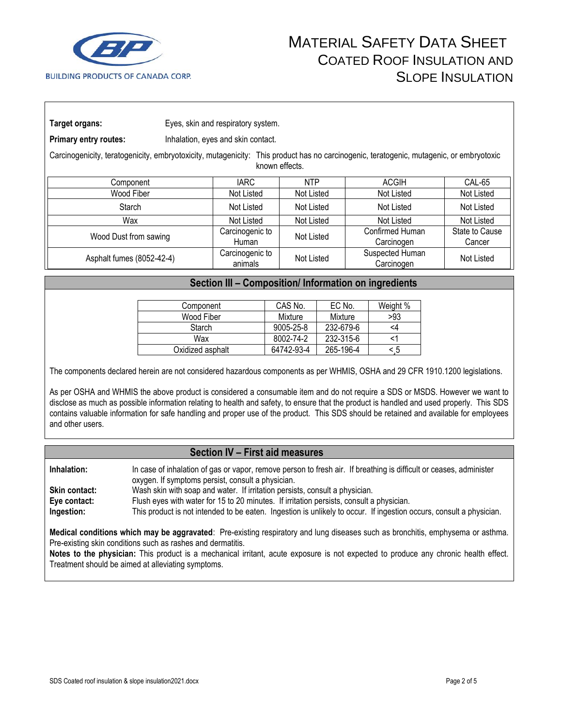

**Target organs:** Eyes, skin and respiratory system.

**Primary entry routes:** Inhalation, eyes and skin contact.

Carcinogenicity, teratogenicity, embryotoxicity, mutagenicity: This product has no carcinogenic, teratogenic, mutagenic, or embryotoxic known effects.

| Component                 | <b>IARC</b>                | <b>NTP</b> | ACGIH                         | <b>CAL-65</b>            |
|---------------------------|----------------------------|------------|-------------------------------|--------------------------|
| Wood Fiber                | Not Listed                 | Not Listed | Not Listed                    | Not Listed               |
| Starch                    | Not Listed                 | Not Listed | Not Listed                    | Not Listed               |
| Wax                       | Not Listed                 | Not Listed | Not Listed                    | Not Listed               |
| Wood Dust from sawing     | Carcinogenic to<br>Human   | Not Listed | Confirmed Human<br>Carcinogen | State to Cause<br>Cancer |
| Asphalt fumes (8052-42-4) | Carcinogenic to<br>animals | Not Listed | Suspected Human<br>Carcinogen | Not Listed               |

### **Section III – Composition/ Information on ingredients**

| Component        | CAS No.    | EC No.    | Weight % |
|------------------|------------|-----------|----------|
| Wood Fiber       | Mixture    | Mixture   | >93      |
| Starch           | 9005-25-8  | 232-679-6 | <4       |
| Wax              | 8002-74-2  | 232-315-6 |          |
| Oxidized asphalt | 64742-93-4 | 265-196-4 | - 5      |

The components declared herein are not considered hazardous components as per WHMIS, OSHA and 29 CFR 1910.1200 legislations.

As per OSHA and WHMIS the above product is considered a consumable item and do not require a SDS or MSDS. However we want to disclose as much as possible information relating to health and safety, to ensure that the product is handled and used properly. This SDS contains valuable information for safe handling and proper use of the product. This SDS should be retained and available for employees and other users.

### **Section IV – First aid measures**

| Inhalation:          | In case of inhalation of gas or vapor, remove person to fresh air. If breathing is difficult or ceases, administer<br>oxygen. If symptoms persist, consult a physician. |
|----------------------|-------------------------------------------------------------------------------------------------------------------------------------------------------------------------|
| <b>Skin contact:</b> | Wash skin with soap and water. If irritation persists, consult a physician.                                                                                             |
| Eye contact:         | Flush eyes with water for 15 to 20 minutes. If irritation persists, consult a physician.                                                                                |
| Ingestion:           | This product is not intended to be eaten. Ingestion is unlikely to occur. If ingestion occurs, consult a physician.                                                     |

**Medical conditions which may be aggravated**: Pre-existing respiratory and lung diseases such as bronchitis, emphysema or asthma. Pre-existing skin conditions such as rashes and dermatitis.

**Notes to the physician:** This product is a mechanical irritant, acute exposure is not expected to produce any chronic health effect. Treatment should be aimed at alleviating symptoms.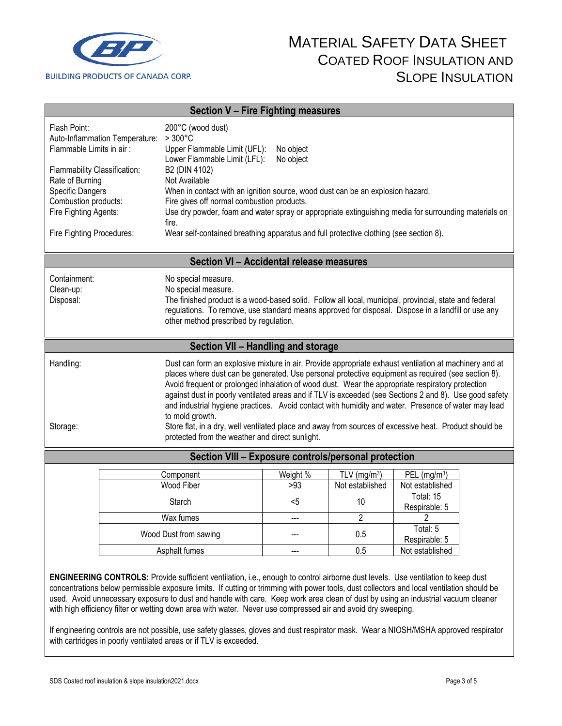

| Section V - Fire Fighting measures                                                                                                                                                                                                                                                                                                                                                                                                                                                                                                                                                                                                                                                                                                         |                                                                                                                                                                                                                                                                                                                                                                                                                                                                                                             |                 |                                  |                                  |  |
|--------------------------------------------------------------------------------------------------------------------------------------------------------------------------------------------------------------------------------------------------------------------------------------------------------------------------------------------------------------------------------------------------------------------------------------------------------------------------------------------------------------------------------------------------------------------------------------------------------------------------------------------------------------------------------------------------------------------------------------------|-------------------------------------------------------------------------------------------------------------------------------------------------------------------------------------------------------------------------------------------------------------------------------------------------------------------------------------------------------------------------------------------------------------------------------------------------------------------------------------------------------------|-----------------|----------------------------------|----------------------------------|--|
| Flash Point:<br>Auto-Inflammation Temperature:<br>Flammable Limits in air:<br>Flammability Classification:<br>Rate of Burning<br>Specific Dangers<br>Combustion products:<br>Fire Fighting Agents:<br>Fire Fighting Procedures:                                                                                                                                                                                                                                                                                                                                                                                                                                                                                                            | 200°C (wood dust)<br>$>300^{\circ}$ C<br>Upper Flammable Limit (UFL):<br>No object<br>Lower Flammable Limit (LFL):<br>No object<br>B2 (DIN 4102)<br>Not Available<br>When in contact with an ignition source, wood dust can be an explosion hazard.<br>Fire gives off normal combustion products.<br>Use dry powder, foam and water spray or appropriate extinguishing media for surrounding materials on<br>fire.<br>Wear self-contained breathing apparatus and full protective clothing (see section 8). |                 |                                  |                                  |  |
|                                                                                                                                                                                                                                                                                                                                                                                                                                                                                                                                                                                                                                                                                                                                            | Section VI - Accidental release measures                                                                                                                                                                                                                                                                                                                                                                                                                                                                    |                 |                                  |                                  |  |
| Containment:<br>Clean-up:<br>Disposal:                                                                                                                                                                                                                                                                                                                                                                                                                                                                                                                                                                                                                                                                                                     | No special measure.<br>No special measure.<br>The finished product is a wood-based solid. Follow all local, municipal, provincial, state and federal<br>regulations. To remove, use standard means approved for disposal. Dispose in a landfill or use any<br>other method prescribed by regulation.                                                                                                                                                                                                        |                 |                                  |                                  |  |
|                                                                                                                                                                                                                                                                                                                                                                                                                                                                                                                                                                                                                                                                                                                                            | Section VII - Handling and storage                                                                                                                                                                                                                                                                                                                                                                                                                                                                          |                 |                                  |                                  |  |
| Dust can form an explosive mixture in air. Provide appropriate exhaust ventilation at machinery and at<br>Handling:<br>places where dust can be generated. Use personal protective equipment as required (see section 8).<br>Avoid frequent or prolonged inhalation of wood dust. Wear the appropriate respiratory protection<br>against dust in poorly ventilated areas and if TLV is exceeded (see Sections 2 and 8). Use good safety<br>and industrial hygiene practices. Avoid contact with humidity and water. Presence of water may lead<br>to mold growth.<br>Store flat, in a dry, well ventilated place and away from sources of excessive heat. Product should be<br>Storage:<br>protected from the weather and direct sunlight. |                                                                                                                                                                                                                                                                                                                                                                                                                                                                                                             |                 |                                  |                                  |  |
| Section VIII - Exposure controls/personal protection                                                                                                                                                                                                                                                                                                                                                                                                                                                                                                                                                                                                                                                                                       |                                                                                                                                                                                                                                                                                                                                                                                                                                                                                                             |                 |                                  |                                  |  |
|                                                                                                                                                                                                                                                                                                                                                                                                                                                                                                                                                                                                                                                                                                                                            | Component<br>Wood Fiber                                                                                                                                                                                                                                                                                                                                                                                                                                                                                     | Weight %<br>>93 | TLV $(mg/m3)$<br>Not established | PEL $(mg/m3)$<br>Not established |  |
|                                                                                                                                                                                                                                                                                                                                                                                                                                                                                                                                                                                                                                                                                                                                            | Starch                                                                                                                                                                                                                                                                                                                                                                                                                                                                                                      | $5$             | 10                               | Total: 15<br>Respirable: 5       |  |
|                                                                                                                                                                                                                                                                                                                                                                                                                                                                                                                                                                                                                                                                                                                                            | Wax fumes                                                                                                                                                                                                                                                                                                                                                                                                                                                                                                   |                 | $\overline{c}$                   | 2<br>Total: 5                    |  |
| Wood Dust from sawing                                                                                                                                                                                                                                                                                                                                                                                                                                                                                                                                                                                                                                                                                                                      |                                                                                                                                                                                                                                                                                                                                                                                                                                                                                                             |                 | 0.5                              | Respirable: 5                    |  |
|                                                                                                                                                                                                                                                                                                                                                                                                                                                                                                                                                                                                                                                                                                                                            | Asphalt fumes                                                                                                                                                                                                                                                                                                                                                                                                                                                                                               |                 | 0.5                              | Not established                  |  |
| <b>ENGINEERING CONTROLS:</b> Provide sufficient ventilation, i.e., enough to control airborne dust levels. Use ventilation to keep dust<br>concentrations helow permissible exposure limits. If cutting or trimming with power tools, dust collectors and local ventilation should be                                                                                                                                                                                                                                                                                                                                                                                                                                                      |                                                                                                                                                                                                                                                                                                                                                                                                                                                                                                             |                 |                                  |                                  |  |

below permissible exposure limits. If cutting or trimming with power tools, dust collectors and local ventilation should be used. Avoid unnecessary exposure to dust and handle with care. Keep work area clean of dust by using an industrial vacuum cleaner with high efficiency filter or wetting down area with water. Never use compressed air and avoid dry sweeping.

If engineering controls are not possible, use safety glasses, gloves and dust respirator mask. Wear a NIOSH/MSHA approved respirator with cartridges in poorly ventilated areas or if TLV is exceeded.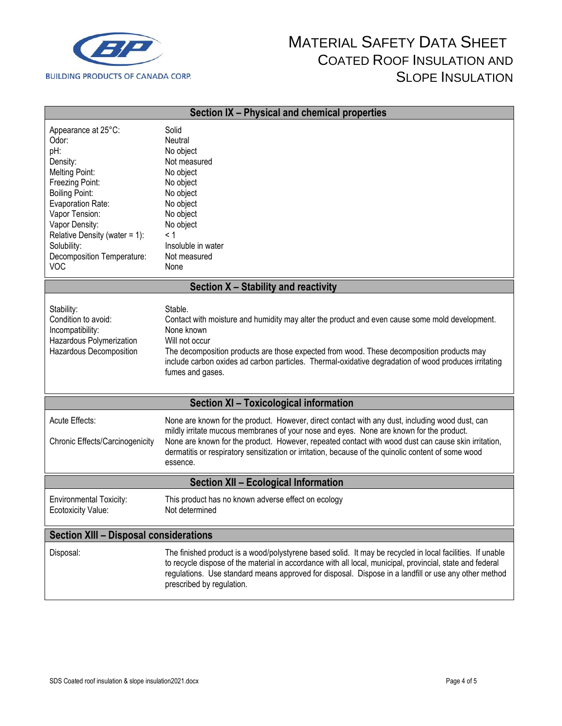

| Section IX - Physical and chemical properties                                                                                                                                                                                                                                |                                                                                                                                                                                                                                                                                                                                                                                                                      |  |  |
|------------------------------------------------------------------------------------------------------------------------------------------------------------------------------------------------------------------------------------------------------------------------------|----------------------------------------------------------------------------------------------------------------------------------------------------------------------------------------------------------------------------------------------------------------------------------------------------------------------------------------------------------------------------------------------------------------------|--|--|
| Appearance at 25°C:<br>Odor:<br>pH:<br>Density:<br><b>Melting Point:</b><br>Freezing Point:<br><b>Boiling Point:</b><br>Evaporation Rate:<br>Vapor Tension:<br>Vapor Density:<br>Relative Density (water = $1$ ):<br>Solubility:<br>Decomposition Temperature:<br><b>VOC</b> | Solid<br>Neutral<br>No object<br>Not measured<br>No object<br>No object<br>No object<br>No object<br>No object<br>No object<br>< 1<br>Insoluble in water<br>Not measured<br>None                                                                                                                                                                                                                                     |  |  |
|                                                                                                                                                                                                                                                                              | Section X - Stability and reactivity                                                                                                                                                                                                                                                                                                                                                                                 |  |  |
| Stability:<br>Condition to avoid:<br>Incompatibility:<br>Hazardous Polymerization<br>Hazardous Decomposition                                                                                                                                                                 | Stable.<br>Contact with moisture and humidity may alter the product and even cause some mold development.<br>None known<br>Will not occur<br>The decomposition products are those expected from wood. These decomposition products may<br>include carbon oxides ad carbon particles. Thermal-oxidative degradation of wood produces irritating<br>fumes and gases.                                                   |  |  |
|                                                                                                                                                                                                                                                                              | Section XI - Toxicological information                                                                                                                                                                                                                                                                                                                                                                               |  |  |
| Acute Effects:<br>Chronic Effects/Carcinogenicity                                                                                                                                                                                                                            | None are known for the product. However, direct contact with any dust, including wood dust, can<br>mildly irritate mucous membranes of your nose and eyes. None are known for the product.<br>None are known for the product. However, repeated contact with wood dust can cause skin irritation,<br>dermatitis or respiratory sensitization or irritation, because of the quinolic content of some wood<br>essence. |  |  |
| <b>Section XII - Ecological Information</b>                                                                                                                                                                                                                                  |                                                                                                                                                                                                                                                                                                                                                                                                                      |  |  |
| <b>Environmental Toxicity:</b><br>Ecotoxicity Value:                                                                                                                                                                                                                         | This product has no known adverse effect on ecology<br>Not determined                                                                                                                                                                                                                                                                                                                                                |  |  |
| <b>Section XIII - Disposal considerations</b>                                                                                                                                                                                                                                |                                                                                                                                                                                                                                                                                                                                                                                                                      |  |  |
| Disposal:                                                                                                                                                                                                                                                                    | The finished product is a wood/polystyrene based solid. It may be recycled in local facilities. If unable<br>to recycle dispose of the material in accordance with all local, municipal, provincial, state and federal<br>regulations. Use standard means approved for disposal. Dispose in a landfill or use any other method<br>prescribed by regulation.                                                          |  |  |